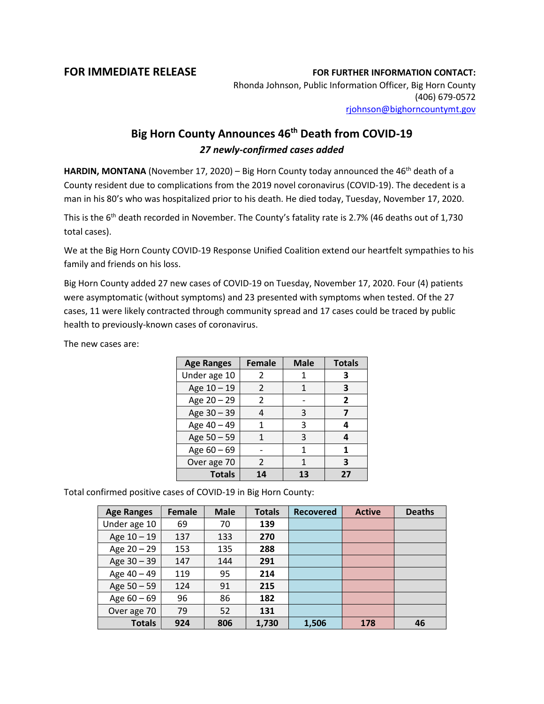## **FOR IMMEDIATE RELEASE FOR FURTHER INFORMATION CONTACT:**

Rhonda Johnson, Public Information Officer, Big Horn County (406) 679-0572 [rjohnson@bighorncountymt.gov](mailto:rjohnson@bighorncountymt.gov)

## **Big Horn County Announces 46th Death from COVID-19** *27 newly-confirmed cases added*

**HARDIN, MONTANA** (November 17, 2020) – Big Horn County today announced the 46<sup>th</sup> death of a County resident due to complications from the 2019 novel coronavirus (COVID-19). The decedent is a man in his 80's who was hospitalized prior to his death. He died today, Tuesday, November 17, 2020.

This is the 6<sup>th</sup> death recorded in November. The County's fatality rate is 2.7% (46 deaths out of 1,730 total cases).

We at the Big Horn County COVID-19 Response Unified Coalition extend our heartfelt sympathies to his family and friends on his loss.

Big Horn County added 27 new cases of COVID-19 on Tuesday, November 17, 2020. Four (4) patients were asymptomatic (without symptoms) and 23 presented with symptoms when tested. Of the 27 cases, 11 were likely contracted through community spread and 17 cases could be traced by public health to previously-known cases of coronavirus.

The new cases are:

| <b>Age Ranges</b> | <b>Female</b>  | <b>Male</b> | <b>Totals</b> |
|-------------------|----------------|-------------|---------------|
| Under age 10      | 2              |             | 3             |
| Age 10 - 19       | $\mathfrak{p}$ | 1           | 3             |
| Age 20 - 29       | 2              |             | 2             |
| Age 30 - 39       |                | 3           |               |
| Age 40 - 49       |                | 3           |               |
| Age 50 - 59       |                | 3           |               |
| Age $60 - 69$     |                |             | 1             |
| Over age 70       | 2              |             | 3             |
| <b>Totals</b>     | 14             | 13          | 27            |

Total confirmed positive cases of COVID-19 in Big Horn County:

| <b>Age Ranges</b> | <b>Female</b> | <b>Male</b> | <b>Totals</b> | <b>Recovered</b> | <b>Active</b> | <b>Deaths</b> |
|-------------------|---------------|-------------|---------------|------------------|---------------|---------------|
| Under age 10      | 69            | 70          | 139           |                  |               |               |
| Age 10 - 19       | 137           | 133         | 270           |                  |               |               |
| Age 20 - 29       | 153           | 135         | 288           |                  |               |               |
| Age 30 - 39       | 147           | 144         | 291           |                  |               |               |
| Age 40 - 49       | 119           | 95          | 214           |                  |               |               |
| Age 50 - 59       | 124           | 91          | 215           |                  |               |               |
| Age $60 - 69$     | 96            | 86          | 182           |                  |               |               |
| Over age 70       | 79            | 52          | 131           |                  |               |               |
| <b>Totals</b>     | 924           | 806         | 1,730         | 1,506            | 178           | 46            |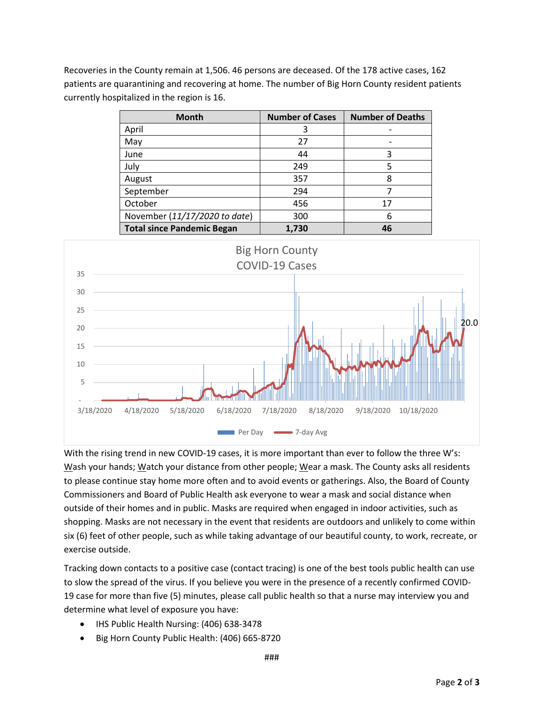Recoveries in the County remain at 1,506. 46 persons are deceased. Of the 178 active cases, 162 patients are quarantining and recovering at home. The number of Big Horn County resident patients currently hospitalized in the region is 16.

| <b>Month</b>                      | <b>Number of Cases</b> | <b>Number of Deaths</b> |
|-----------------------------------|------------------------|-------------------------|
| April                             | 3                      |                         |
| May                               | 27                     |                         |
| June                              | 44                     | 3                       |
| July                              | 249                    |                         |
| August                            | 357                    | 8                       |
| September                         | 294                    |                         |
| October                           | 456                    | 17                      |
| November (11/17/2020 to date)     | 300                    | 6                       |
| <b>Total since Pandemic Began</b> | 1,730                  | 46                      |



With the rising trend in new COVID-19 cases, it is more important than ever to follow the three W's: Wash your hands; Watch your distance from other people; Wear a mask. The County asks all residents to please continue stay home more often and to avoid events or gatherings. Also, the Board of County Commissioners and Board of Public Health ask everyone to wear a mask and social distance when outside of their homes and in public. Masks are required when engaged in indoor activities, such as shopping. Masks are not necessary in the event that residents are outdoors and unlikely to come within six (6) feet of other people, such as while taking advantage of our beautiful county, to work, recreate, or exercise outside.

Tracking down contacts to a positive case (contact tracing) is one of the best tools public health can use to slow the spread of the virus. If you believe you were in the presence of a recently confirmed COVID-19 case for more than five (5) minutes, please call public health so that a nurse may interview you and determine what level of exposure you have:

- IHS Public Health Nursing: (406) 638-3478
- Big Horn County Public Health: (406) 665-8720